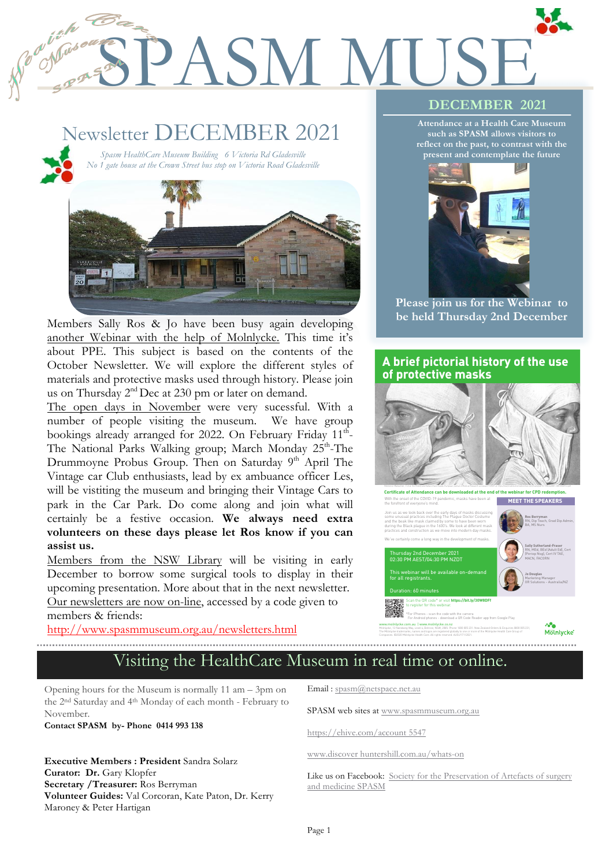# SPASM MUSE **DECEMBER 2021**

# Newsletter DECEMBER 2021

*Spasm HealthCare Museum Building 6 Victoria Rd Gladesville No 1 gate house at the Crown Street bus stop on Victoria Road Gladesville*

1

2



**be held Thursday 2nd December** Members Sally Ros & Jo have been busy again developing another Webinar with the help of Molnlycke. This time it's about PPE. This subject is based on the contents of the October Newsletter. We will explore the different styles of materials and protective masks used through history. Please join us on Thursday 2<sup>nd</sup> Dec at 230 pm or later on demand.

The open days in November were very sucessful. With a number of people visiting the museum. We have group bookings already arranged for 2022. On February Friday 11<sup>th</sup>-The National Parks Walking group; March Monday 25<sup>th</sup>-The Drummoyne Probus Group. Then on Saturday 9<sup>th</sup> April The Vintage car Club enthusiasts, lead by ex ambuance officer Les, will be vistiting the museum and bringing their Vintage Cars to park in the Car Park. Do come along and join what will certainly be a festive occasion. **We always need extra volunteers on these days please let Ros know if you can assist us.**

Members from the NSW Library will be visiting in early December to borrow some surgical tools to display in their upcoming presentation. More about that in the next newsletter. Our newsletters are now on-line, accessed by a code given to

members & friends:

http://www.spasmmuseum.org.au/newsletters.html

#### **Attendance at a Health Care Museum such as SPASM allows visitors to**

**reflect on the past, to contrast with the present and contemplate the future**



**Please join us for the Webinar to** 

#### **A brief pictorial history of the use of protective masks**



**MEET THE SPEAKERS** With the onset of the COVID-19 pandemic, masks have been at the forefront of everyone's mind.



. . . . . . . . . . . . . . . .

The Mölnlycke trademarks, names and logos are registered globally to one or more of the Mölnlycke Health Care Group of

Companies. ©2020 Mölnlycke Health Care. All rights reserved. AUSU17112021.

## Visiting the HealthCare Museum in real time or online.

Opening hours for the Museum is normally 11 am – 3pm on the 2nd Saturday and 4th Monday of each month - February to November.

**Contact SPASM by- Phone 0414 993 138** 

**Executive Members : President** Sandra Solarz **Curator: Dr.** Gary Klopfer **Secretary /Treasurer:** Ros Berryman **Volunteer Guides:** Val Corcoran, Kate Paton, Dr. Kerry Maroney & Peter Hartigan

Email : spasm@netspace.net.au

SPASM web sites at www.spasmmuseum.org.au

https://ehive.com/account 5547

www.discover huntershill.com.au/whats-on

Like us on Facebook: Society for the Preservation of Artefacts of surgery and medicine SPASM